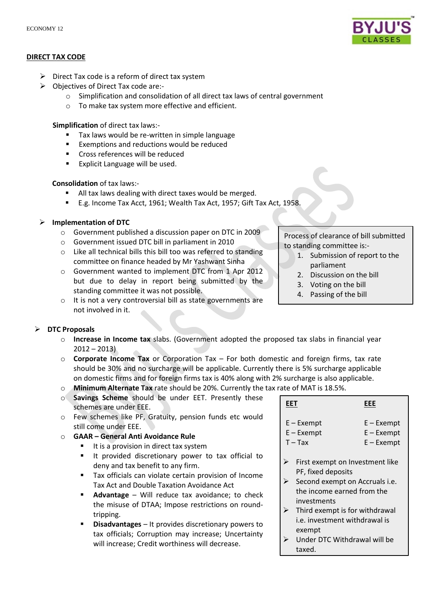

## **DIRECT TAX CODE**

- $\triangleright$  Direct Tax code is a reform of direct tax system
- Objectives of Direct Tax code are:
	- o Simplification and consolidation of all direct tax laws of central government
	- o To make tax system more effective and efficient.

**Simplification** of direct tax laws:-

- Tax laws would be re-written in simple language
- Exemptions and reductions would be reduced
- **Cross references will be reduced**
- **Explicit Language will be used.**

## **Consolidation** of tax laws:-

- All tax laws dealing with direct taxes would be merged.
- E.g. Income Tax Acct, 1961; Wealth Tax Act, 1957; Gift Tax Act, 1958.

**Implementation of DTC**

- o Government published a discussion paper on DTC in 2009
- o Government issued DTC bill in parliament in 2010
- o Like all technical bills this bill too was referred to standing committee on finance headed by Mr Yashwant Sinha
- o Government wanted to implement DTC from 1 Apr 2012 but due to delay in report being submitted by the standing committee it was not possible.
- o It is not a very controversial bill as state governments are not involved in it.

Process of clearance of bill submitted to standing committee is:-

- 1. Submission of report to the parliament
- 2. Discussion on the bill
- 3. Voting on the bill
- 4. Passing of the bill

# **DTC Proposals**

- o **Increase in Income tax** slabs. (Government adopted the proposed tax slabs in financial year  $2012 - 2013$
- o **Corporate Income Tax** or Corporation Tax For both domestic and foreign firms, tax rate should be 30% and no surcharge will be applicable. Currently there is 5% surcharge applicable on domestic firms and for foreign firms tax is 40% along with 2% surcharge is also applicable.
- o **Minimum Alternate Tax** rate should be 20%. Currently the tax rate of MAT is 18.5%.
- o **Savings Scheme** should be under EET. Presently these schemes are under EEE.
- o Few schemes like PF, Gratuity, pension funds etc would still come under EEE.
- o **GAAR – General Anti Avoidance Rule**
	- It is a provision in direct tax system
	- It provided discretionary power to tax official to deny and tax benefit to any firm.
	- Tax officials can violate certain provision of Income Tax Act and Double Taxation Avoidance Act
	- **Advantage** Will reduce tax avoidance; to check the misuse of DTAA; Impose restrictions on roundtripping.
	- **Disadvantages**  It provides discretionary powers to tax officials; Corruption may increase; Uncertainty will increase; Credit worthiness will decrease.

| EET                                     | EEE                                          |
|-----------------------------------------|----------------------------------------------|
| $E -$ Exempt<br>$E -$ Exempt<br>$T-Tax$ | $E - Exempt$<br>$E - Exempt$<br>$E - Exempt$ |
| First exempt on Investment like         |                                              |

- PF, fixed deposits
- $\triangleright$  Second exempt on Accruals i.e. the income earned from the investments
- $\triangleright$  Third exempt is for withdrawal i.e. investment withdrawal is exempt
- $\triangleright$  Under DTC Withdrawal will be taxed.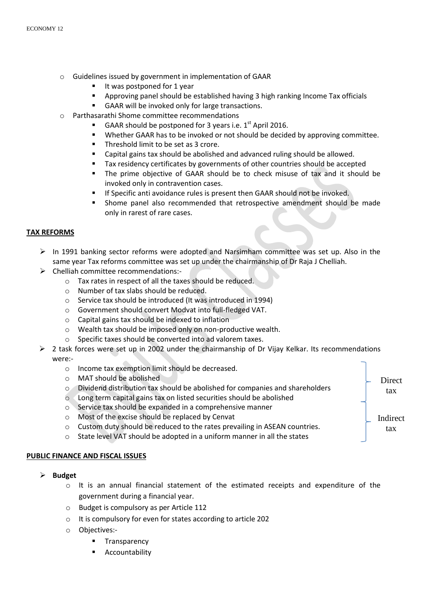- o Guidelines issued by government in implementation of GAAR
	- It was postponed for 1 year
	- Approving panel should be established having 3 high ranking Income Tax officials
	- GAAR will be invoked only for large transactions.
- Parthasarathi Shome committee recommendations
	- GAAR should be postponed for 3 years i.e.  $1<sup>st</sup>$  April 2016.
	- Whether GAAR has to be invoked or not should be decided by approving committee.
	- **Threshold limit to be set as 3 crore.**
	- **EXEC** Capital gains tax should be abolished and advanced ruling should be allowed.
	- Tax residency certificates by governments of other countries should be accepted
	- The prime objective of GAAR should be to check misuse of tax and it should be invoked only in contravention cases.
	- If Specific anti avoidance rules is present then GAAR should not be invoked.
	- Shome panel also recommended that retrospective amendment should be made only in rarest of rare cases.

## **TAX REFORMS**

- $\triangleright$  In 1991 banking sector reforms were adopted and Narsimham committee was set up. Also in the same year Tax reforms committee was set up under the chairmanship of Dr Raja J Chelliah.
- $\triangleright$  Chelliah committee recommendations:
	- o Tax rates in respect of all the taxes should be reduced.
	- o Number of tax slabs should be reduced.
	- o Service tax should be introduced (It was introduced in 1994)
	- o Government should convert Modvat into full-fledged VAT.
	- o Capital gains tax should be indexed to inflation
	- o Wealth tax should be imposed only on non-productive wealth.
	- o Specific taxes should be converted into ad valorem taxes.
- 2 task forces were set up in 2002 under the chairmanship of Dr Vijay Kelkar. Its recommendations were:-

**Direct** tax

Indirect tax

- o Income tax exemption limit should be decreased.
- o MAT should be abolished
- o Dividend distribution tax should be abolished for companies and shareholders
- o Long term capital gains tax on listed securities should be abolished
- o Service tax should be expanded in a comprehensive manner
- o Most of the excise should be replaced by Cenvat
- $\circ$  Custom duty should be reduced to the rates prevailing in ASEAN countries.
- o State level VAT should be adopted in a uniform manner in all the states

## **PUBLIC FINANCE AND FISCAL ISSUES**

- **Budget**
	- $\circ$  It is an annual financial statement of the estimated receipts and expenditure of the government during a financial year.
	- o Budget is compulsory as per Article 112
	- o It is compulsory for even for states according to article 202
	- o Objectives:-
		- Transparency
		- Accountability